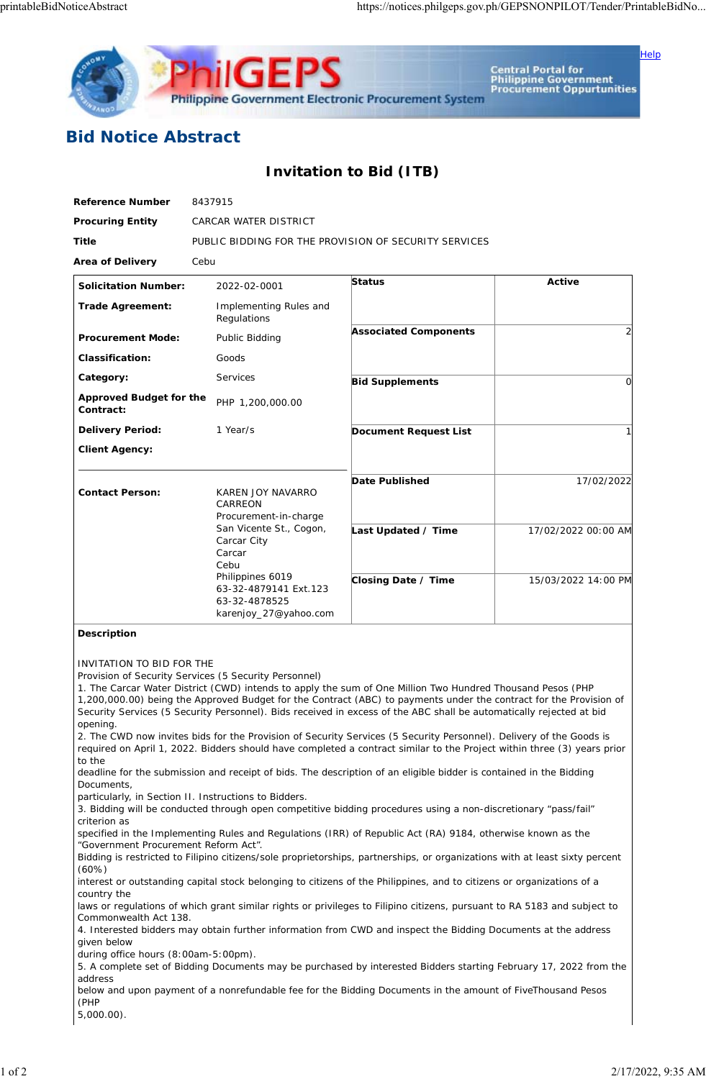

Central Portal for<br>Philippine Government<br>Procurement Oppurtunities

Help

## **Bid Notice Abstract**

## **Invitation to Bid (ITB)**

| <b>Reference Number</b>              | 8437915                                                                                                                                                                                                  |                              |                     |
|--------------------------------------|----------------------------------------------------------------------------------------------------------------------------------------------------------------------------------------------------------|------------------------------|---------------------|
| <b>Procuring Entity</b>              | CARCAR WATER DISTRICT                                                                                                                                                                                    |                              |                     |
| <b>Title</b>                         | PUBLIC BIDDING FOR THE PROVISION OF SECURITY SERVICES                                                                                                                                                    |                              |                     |
| <b>Area of Delivery</b>              | Cebu                                                                                                                                                                                                     |                              |                     |
| <b>Solicitation Number:</b>          | 2022-02-0001                                                                                                                                                                                             | <b>Status</b>                | Active              |
| <b>Trade Agreement:</b>              | Implementing Rules and<br>Regulations                                                                                                                                                                    |                              |                     |
| <b>Procurement Mode:</b>             | Public Bidding                                                                                                                                                                                           | <b>Associated Components</b> |                     |
| <b>Classification:</b>               | Goods                                                                                                                                                                                                    |                              |                     |
| Category:                            | <b>Services</b>                                                                                                                                                                                          | <b>Bid Supplements</b>       | 0                   |
| Approved Budget for the<br>Contract: | PHP 1,200,000.00                                                                                                                                                                                         |                              |                     |
| <b>Delivery Period:</b>              | 1 Year/s                                                                                                                                                                                                 | <b>Document Request List</b> |                     |
| <b>Client Agency:</b>                |                                                                                                                                                                                                          |                              |                     |
| <b>Contact Person:</b>               | KAREN JOY NAVARRO<br>CARREON<br>Procurement-in-charge<br>San Vicente St., Cogon,<br>Carcar City<br>Carcar<br>Cebu<br>Philippines 6019<br>63-32-4879141 Ext.123<br>63-32-4878525<br>karenjoy_27@yahoo.com | <b>Date Published</b>        | 17/02/2022          |
|                                      |                                                                                                                                                                                                          | Last Updated / Time          | 17/02/2022 00:00 AM |
|                                      |                                                                                                                                                                                                          | Closing Date / Time          | 15/03/2022 14:00 PM |

## **Description**

INVITATION TO BID FOR THE

Provision of Security Services (5 Security Personnel)

1. The Carcar Water District (CWD) intends to apply the sum of One Million Two Hundred Thousand Pesos (PHP 1,200,000.00) being the Approved Budget for the Contract (ABC) to payments under the contract for the Provision of Security Services (5 Security Personnel). Bids received in excess of the ABC shall be automatically rejected at bid opening.

2. The CWD now invites bids for the Provision of Security Services (5 Security Personnel). Delivery of the Goods is required on April 1, 2022. Bidders should have completed a contract similar to the Project within three (3) years prior to the

deadline for the submission and receipt of bids. The description of an eligible bidder is contained in the Bidding Documents,

particularly, in Section II. Instructions to Bidders.

3. Bidding will be conducted through open competitive bidding procedures using a non-discretionary "pass/fail" criterion as

specified in the Implementing Rules and Regulations (IRR) of Republic Act (RA) 9184, otherwise known as the "Government Procurement Reform Act".

Bidding is restricted to Filipino citizens/sole proprietorships, partnerships, or organizations with at least sixty percent (60%)

interest or outstanding capital stock belonging to citizens of the Philippines, and to citizens or organizations of a country the

laws or regulations of which grant similar rights or privileges to Filipino citizens, pursuant to RA 5183 and subject to Commonwealth Act 138.

4. Interested bidders may obtain further information from CWD and inspect the Bidding Documents at the address given below

during office hours (8:00am-5:00pm).

5. A complete set of Bidding Documents may be purchased by interested Bidders starting February 17, 2022 from the address

below and upon payment of a nonrefundable fee for the Bidding Documents in the amount of FiveThousand Pesos (PHP

5,000.00).